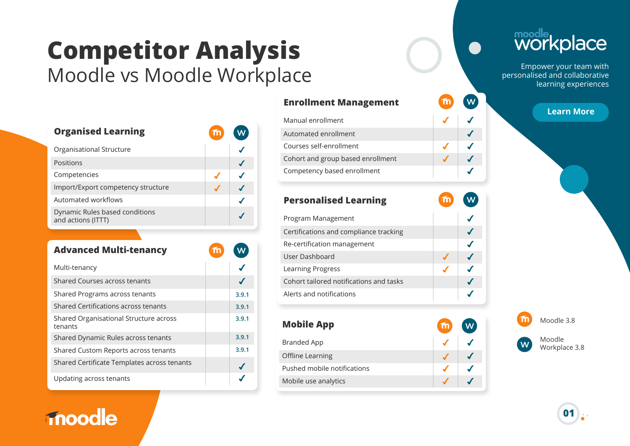## **Competitor Analysis** Moodle vs Moodle Workplace

| <b>Organised Learning</b>                            | $\mathbf{m}$ |  |
|------------------------------------------------------|--------------|--|
| Organisational Structure                             |              |  |
| Positions                                            |              |  |
| Competencies                                         |              |  |
| Import/Export competency structure                   |              |  |
| Automated workflows                                  |              |  |
| Dynamic Rules based conditions<br>and actions (ITTT) |              |  |

| <b>Advanced Multi-tenancy</b>                     |       |
|---------------------------------------------------|-------|
| Multi-tenancy                                     |       |
| Shared Courses across tenants                     |       |
| Shared Programs across tenants                    | 3.9.1 |
| Shared Certifications across tenants              | 3.9.1 |
| Shared Organisational Structure across<br>tenants | 3.9.1 |
| Shared Dynamic Rules across tenants               | 3.9.1 |
| Shared Custom Reports across tenants              | 3.9.1 |
| Shared Certificate Templates across tenants       |       |
| Updating across tenants                           |       |

### **inoodle**

| <b>Enrollment Management</b>      | m | $\overline{\mathsf{w}}$ |
|-----------------------------------|---|-------------------------|
| Manual enrollment                 |   |                         |
| Automated enrollment              |   |                         |
| Courses self-enrollment           |   |                         |
| Cohort and group based enrollment |   |                         |
| Competency based enrollment       |   |                         |

 $\sqrt{w}$ 

 $\sqrt{w}$ 

m<sup>(</sup>

m

### **Personalised Learning**

| Program Management                      |  |
|-----------------------------------------|--|
| Certifications and compliance tracking  |  |
| Re-certification management             |  |
| User Dashboard                          |  |
| Learning Progress                       |  |
| Cohort tailored notifications and tasks |  |
| Alerts and notifications                |  |
|                                         |  |

### **Mobile App**

| Branded App                 |  |
|-----------------------------|--|
| Offline Learning            |  |
| Pushed mobile notifications |  |
| Mobile use analytics        |  |

# moodle<br>WOrkplace

Empower your team with personalised and collaborative learning experiences

**Learn More**



Moodle Workplace 3.8

**01**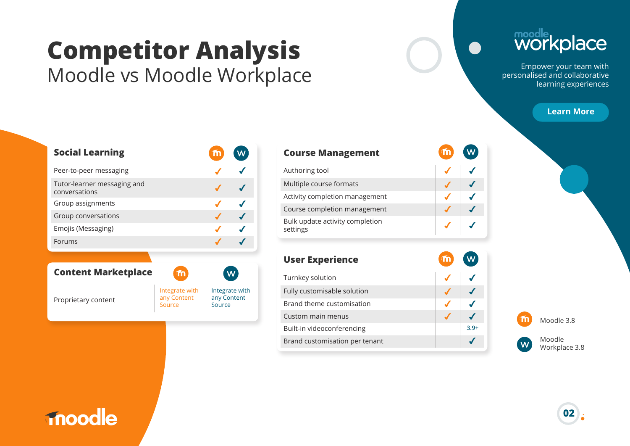### **Competitor Analysis** Moodle vs Moodle Workplace

# moodle<br>WOrkplace

Empower your team with personalised and collaborative learning experiences

#### **Learn More**

| <b>Social Learning</b>                       |  |
|----------------------------------------------|--|
| Peer-to-peer messaging                       |  |
| Tutor-learner messaging and<br>conversations |  |
| Group assignments                            |  |
| Group conversations                          |  |
| Emojis (Messaging)                           |  |
| Forums                                       |  |

#### **Content Marketplace**

Proprietary content



| <b>Course Management</b>                    |  |
|---------------------------------------------|--|
| Authoring tool                              |  |
| Multiple course formats                     |  |
| Activity completion management              |  |
| Course completion management                |  |
| Bulk update activity completion<br>settings |  |
|                                             |  |

| <b>User Experience</b>         |        |
|--------------------------------|--------|
| Turnkey solution               |        |
| Fully customisable solution    |        |
| Brand theme customisation      |        |
| Custom main menus              |        |
| Built-in videoconferencing     | $3.9+$ |
| Brand customisation per tenant |        |
|                                |        |

Moodle 3.8

Moodle Workplace 3.8

### **Thoodle**